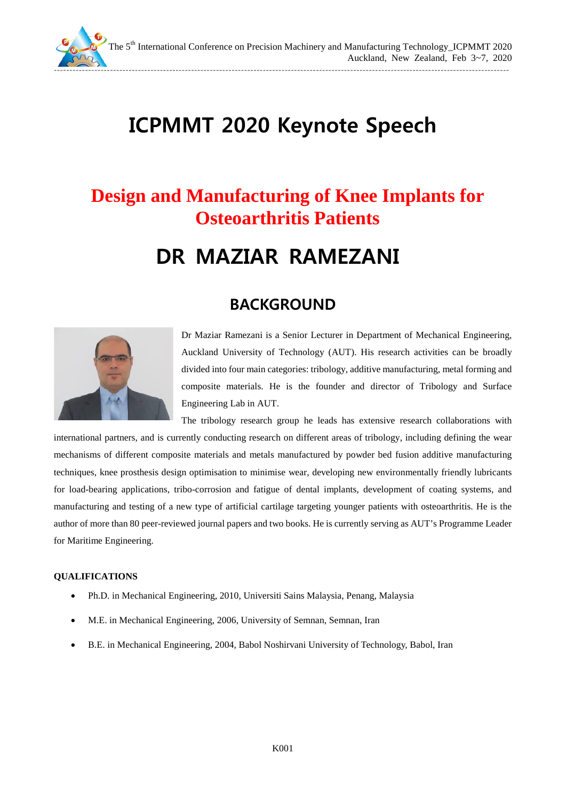

The 5<sup>th</sup> International Conference on Precision Machinery and Manufacturing Technology\_ICPMMT 2020 Auckland, New Zealand, Feb 3~7, 2020

--------------------------------------------------------------------------------------------------------------------------------------------------

# **ICPMMT 2020 Keynote Speech**

## **Design and Manufacturing of Knee Implants for Osteoarthritis Patients**

# **DR MAZIAR RAMEZANI**

### **BACKGROUND**



Dr Maziar Ramezani is a Senior Lecturer in Department of Mechanical Engineering, Auckland University of Technology (AUT). His research activities can be broadly divided into four main categories: tribology, additive manufacturing, metal forming and composite materials. He is the founder and director of Tribology and Surface Engineering Lab in AUT.

The tribology research group he leads has extensive research collaborations with international partners, and is currently conducting research on different areas of tribology, including defining the wear mechanisms of different composite materials and metals manufactured by powder bed fusion additive manufacturing techniques, knee prosthesis design optimisation to minimise wear, developing new environmentally friendly lubricants for load-bearing applications, tribo-corrosion and fatigue of dental implants, development of coating systems, and manufacturing and testing of a new type of artificial cartilage targeting younger patients with osteoarthritis. He is the author of more than 80 peer-reviewed journal papers and two books. He is currently serving as AUT's Programme Leader for Maritime Engineering.

#### **QUALIFICATIONS**

- Ph.D. in Mechanical Engineering, 2010, Universiti Sains Malaysia, Penang, Malaysia
- M.E. in Mechanical Engineering, 2006, University of Semnan, Semnan, Iran
- B.E. in Mechanical Engineering, 2004, Babol Noshirvani University of Technology, Babol, Iran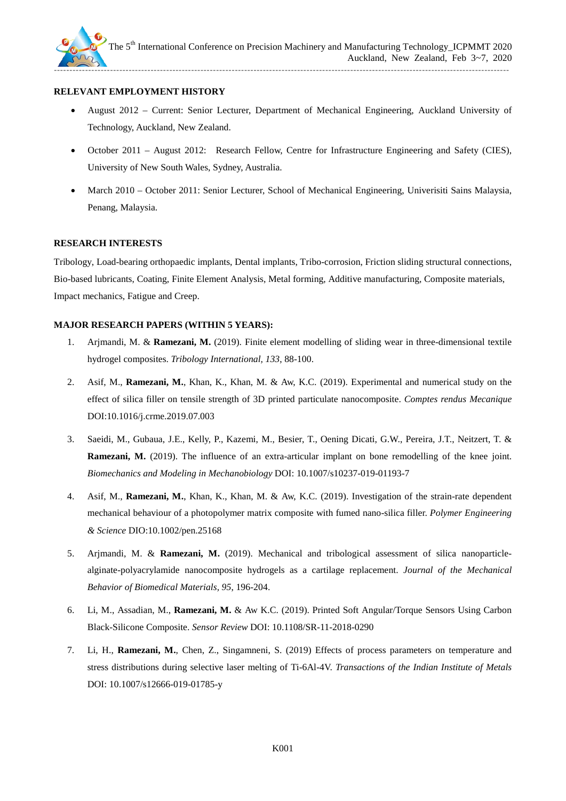

#### **RELEVANT EMPLOYMENT HISTORY**

- August 2012 Current: Senior Lecturer, Department of Mechanical Engineering, Auckland University of Technology, Auckland, New Zealand.
- October 2011 August 2012: Research Fellow, Centre for Infrastructure Engineering and Safety (CIES), University of New South Wales, Sydney, Australia.
- March 2010 October 2011: Senior Lecturer, School of Mechanical Engineering, Universiti Sains Malaysia, Penang, Malaysia.

#### **RESEARCH INTERESTS**

Tribology, Load-bearing orthopaedic implants, Dental implants, Tribo-corrosion, Friction sliding structural connections, Bio-based lubricants, Coating, Finite Element Analysis, Metal forming, Additive manufacturing, Composite materials, Impact mechanics, Fatigue and Creep.

#### **MAJOR RESEARCH PAPERS (WITHIN 5 YEARS):**

- 1. Arjmandi, M. & **Ramezani, M.** (2019). Finite element modelling of sliding wear in three-dimensional textile hydrogel composites. *Tribology International, 133*, 88-100.
- 2. Asif, M., **Ramezani, M.**, Khan, K., Khan, M. & Aw, K.C. (2019). Experimental and numerical study on the effect of silica filler on tensile strength of 3D printed particulate nanocomposite. *Comptes rendus Mecanique*  DOI:10.1016/j.crme.2019.07.003
- 3. Saeidi, M., Gubaua, J.E., Kelly, P., Kazemi, M., Besier, T., Oening Dicati, G.W., Pereira, J.T., Neitzert, T. & **Ramezani, M.** (2019). The influence of an extra-articular implant on bone remodelling of the knee joint. *Biomechanics and Modeling in Mechanobiology* DOI: 10.1007/s10237-019-01193-7
- 4. Asif, M., **Ramezani, M.**, Khan, K., Khan, M. & Aw, K.C. (2019). Investigation of the strain-rate dependent mechanical behaviour of a photopolymer matrix composite with fumed nano-silica filler. *Polymer Engineering & Science* DIO[:10.1002/pen.25168](https://doi.org/10.1002/pen.25168)
- 5. Arjmandi, M. & **Ramezani, M.** (2019). Mechanical and tribological assessment of silica nanoparticlealginate-polyacrylamide nanocomposite hydrogels as a cartilage replacement. *Journal of the Mechanical Behavior of Biomedical Materials, 95*, 196-204.
- 6. Li, M., Assadian, M., **Ramezani, M.** & Aw K.C. (2019). Printed Soft Angular/Torque Sensors Using Carbon Black-Silicone Composite. *Sensor Review* DOI: 10.1108/SR-11-2018-0290
- 7. Li, H., **Ramezani, M.**, Chen, Z., Singamneni, S. (2019) Effects of process parameters on temperature and stress distributions during selective laser melting of Ti-6Al-4V. *Transactions of the Indian Institute of Metals*  DOI: 10.1007/s12666-019-01785-y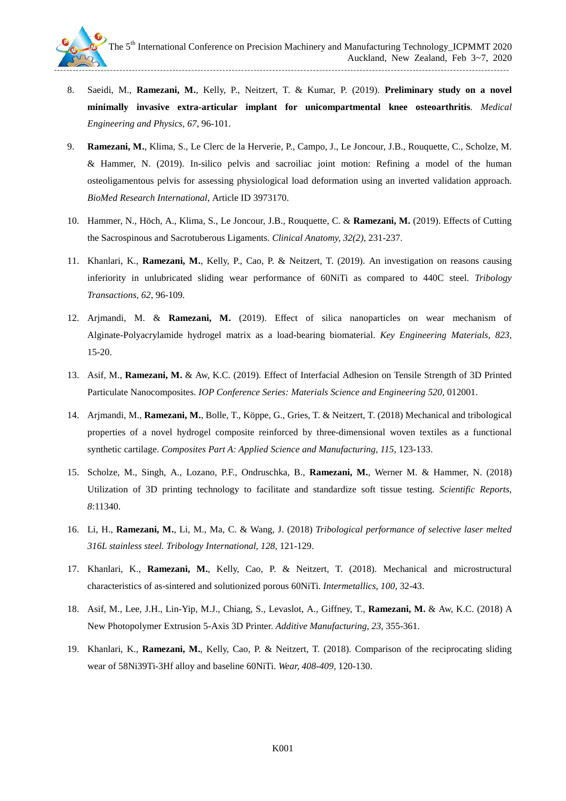

- 8. Saeidi, M., **Ramezani, M.**, Kelly, P., Neitzert, T. & Kumar, P. (2019). **Preliminary study on a novel minimally invasive extra-articular implant for unicompartmental knee osteoarthritis**. *Medical Engineering and Physics, 67*, 96-101.
- 9. **Ramezani, M.**, Klima, S., Le Clerc de la Herverie, P., Campo, J., Le Joncour, J.B., Rouquette, C., Scholze, M. & Hammer, N. (2019). In-silico pelvis and sacroiliac joint motion: Refining a model of the human osteoligamentous pelvis for assessing physiological load deformation using an inverted validation approach. *BioMed Research International,* Article ID 3973170.
- 10. Hammer, N., Höch, A., Klima, S., Le Joncour, J.B., Rouquette, C. & **Ramezani, M.** (2019). Effects of Cutting the Sacrospinous and Sacrotuberous Ligaments. *Clinical Anatomy, 32(2)*, 231-237.
- 11. Khanlari, K., **Ramezani, M.**, Kelly, P., Cao, P. & Neitzert, T. (2019). An investigation on reasons causing inferiority in unlubricated sliding wear performance of 60NiTi as compared to 440C steel. *Tribology Transactions, 62*, 96-109.
- 12. Arjmandi, M. & **Ramezani, M.** (2019). Effect of silica nanoparticles on wear mechanism of Alginate-Polyacrylamide hydrogel matrix as a load-bearing biomaterial. *Key Engineering Materials, 823*, 15-20.
- 13. Asif, M., **Ramezani, M.** & Aw, K.C. (2019). Effect of Interfacial Adhesion on Tensile Strength of 3D Printed Particulate Nanocomposites. *IOP Conference Series: Materials Science and Engineering 520*, 012001.
- 14. Arjmandi, M., **Ramezani, M.**, Bolle, T., Köppe, G., Gries, T. & Neitzert, T. (2018) Mechanical and tribological properties of a novel hydrogel composite reinforced by three-dimensional woven textiles as a functional synthetic cartilage. *Composites Part A: Applied Science and Manufacturing, 115*, 123-133.
- 15. Scholze, M., Singh, A., Lozano, P.F., Ondruschka, B., **Ramezani, M.**, Werner M. & Hammer, N. (2018) Utilization of 3D printing technology to facilitate and standardize soft tissue testing. *Scientific Reports, 8*:11340.
- 16. Li, H., **Ramezani, M.**, Li, M., Ma, C. & Wang, J. (2018) *Tribological performance of selective laser melted 316L stainless steel. Tribology International, 128*, 121-129.
- 17. Khanlari, K., **Ramezani, M.**, Kelly, Cao, P. & Neitzert, T. (2018). Mechanical and microstructural characteristics of as-sintered and solutionized porous 60NiTi. *Intermetallics, 100*, 32-43.
- 18. Asif, M., Lee, J.H., Lin-Yip, M.J., Chiang, S., Levaslot, A., Giffney, T., **Ramezani, M.** & Aw, K.C. (2018) A New Photopolymer Extrusion 5-Axis 3D Printer. *Additive Manufacturing, 23*, 355-361.
- 19. Khanlari, K., **Ramezani, M.**, Kelly, Cao, P. & Neitzert, T. (2018). Comparison of the reciprocating sliding wear of 58Ni39Ti-3Hf alloy and baseline 60NiTi. *Wear, 408-409*, 120-130.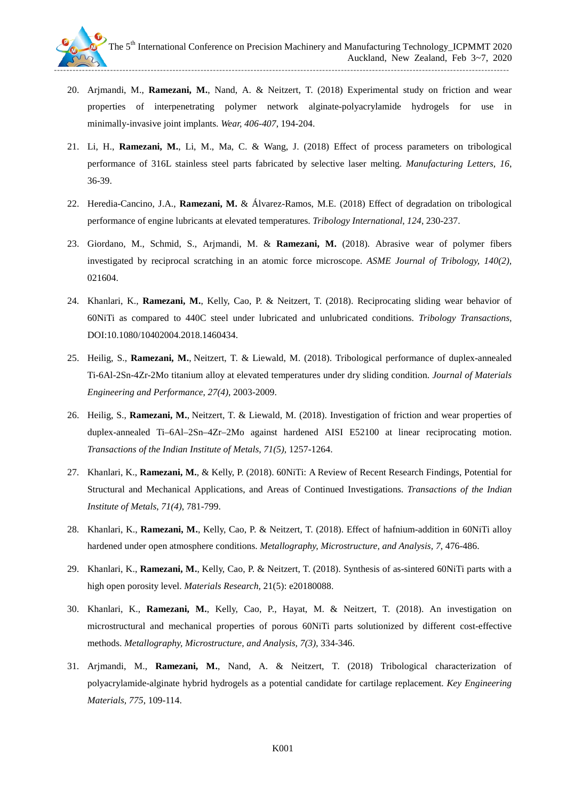

- 20. Arjmandi, M., **Ramezani, M.**, Nand, A. & Neitzert, T. (2018) Experimental study on friction and wear properties of interpenetrating polymer network alginate-polyacrylamide hydrogels for use in minimally-invasive joint implants. *Wear, 406-407*, 194-204.
- 21. Li, H., **Ramezani, M.**, Li, M., Ma, C. & Wang, J. (2018) Effect of process parameters on tribological performance of 316L stainless steel parts fabricated by selective laser melting. *Manufacturing Letters, 16*, 36-39.
- 22. Heredia-Cancino, J.A., **Ramezani, M.** & Álvarez-Ramos, M.E. (2018) Effect of degradation on tribological performance of engine lubricants at elevated temperatures. *Tribology International*, *124*, 230-237.
- 23. [Giordano, M.,](https://www.scopus.com/authid/detail.uri?origin=AuthorProfile&authorId=54947594400&zone=) [Schmid, S.,](https://www.scopus.com/authid/detail.uri?origin=AuthorProfile&authorId=24458975000&zone=) [Arjmandi, M.](https://www.scopus.com/authid/detail.uri?origin=AuthorProfile&authorId=57194570638&zone=) & **[Ramezani, M.](https://www.scopus.com/authid/detail.uri?origin=AuthorProfile&authorId=24081569700&zone=)** (2018). [Abrasive](https://www.scopus.com/record/display.uri?eid=2-s2.0-85021442437&origin=resultslist&sort=plf-f&src=s&sid=ED5744DAB54AD02C9DBDD9B347613421.wsnAw8kcdt7IPYLO0V48gA%3a160&sot=autdocs&sdt=autdocs&sl=18&s=AU-ID%2824081569700%29&relpos=1&citeCnt=0&searchTerm=) wear of polymer fibers investigated by reciprocal scratching in an atomic force microscope. *ASME Journal of Tribology, 140(2),*  021604.
- 24. Khanlari, K., **Ramezani, M.**, Kelly, Cao, P. & Neitzert, T. (2018). Reciprocating sliding wear behavior of 60NiTi as compared to 440C steel under lubricated and unlubricated conditions. *Tribology Transactions,*  DOI:10.1080/10402004.2018.1460434.
- 25. Heilig, S., **Ramezani, M.**, Neitzert, T. & Liewald, M. (2018). Tribological performance of duplex-annealed Ti-6Al-2Sn-4Zr-2Mo titanium alloy at elevated temperatures under dry sliding condition. *Journal of Materials Engineering and Performance*, *27(4)*, 2003-2009.
- 26. Heilig, S., **Ramezani, M.**, Neitzert, T. & Liewald, M. (2018). Investigation of friction and wear properties of duplex-annealed Ti–6Al–2Sn–4Zr–2Mo against hardened AISI E52100 at linear reciprocating motion. *[Transactions of the Indian Institute of Metals,](https://link.springer.com/journal/12666) 71(5),* 1257-1264.
- 27. Khanlari, K., **Ramezani, M.**, & Kelly, P. (2018). 60NiTi: A Review of Recent Research Findings, Potential for Structural and Mechanical Applications, and Areas of Continued Investigations. *[Transactions of the Indian](https://link.springer.com/journal/12666)  [Institute of Metals](https://link.springer.com/journal/12666)*, *71(4)*, 781-799.
- 28. Khanlari, K., **Ramezani, M.**, Kelly, Cao, P. & Neitzert, T. (2018). Effect of hafnium-addition in 60NiTi alloy hardened under open atmosphere conditions. *Metallography, Microstructure, and Analysis, 7*, 476-486.
- 29. Khanlari, K., **Ramezani, M.**, Kelly, Cao, P. & Neitzert, T. (2018). Synthesis of as-sintered 60NiTi parts with a high open porosity level. *Materials Research,* 21(5): e20180088.
- 30. Khanlari, K., **Ramezani, M.**, Kelly, Cao, P., Hayat, M. & Neitzert, T. (2018). An investigation on microstructural and mechanical properties of porous 60NiTi parts solutionized by different cost-effective methods. *Metallography, Microstructure, and Analysis, 7(3),* 334-346.
- 31. Arjmandi, M., **Ramezani, M.**, Nand, A. & Neitzert, T. (2018) Tribological characterization of polyacrylamide-alginate hybrid hydrogels as a potential candidate for cartilage replacement. *Key Engineering Materials, 775*, 109-114.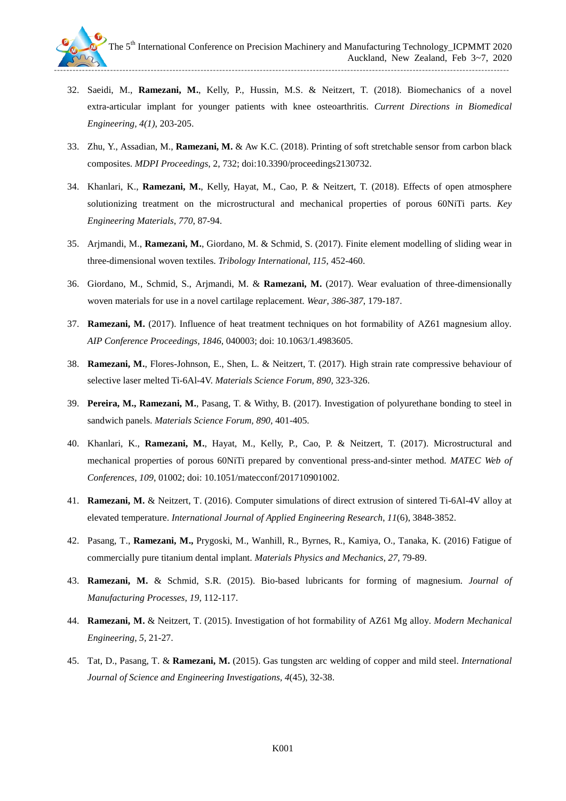

- 32. Saeidi, M., **Ramezani, M.**, Kelly, P., Hussin, M.S. & Neitzert, T. (2018). Biomechanics of a novel extra-articular implant for younger patients with knee osteoarthritis. *Current Directions in Biomedical Engineering, 4(1)*, 203-205.
- 33. Zhu, Y., Assadian, M., **Ramezani, M.** & Aw K.C. (2018). Printing of soft stretchable sensor from carbon black composites. *MDPI Proceedings*, 2, 732; doi:10.3390/proceedings2130732.
- 34. Khanlari, K., **Ramezani, M.**, Kelly, Hayat, M., Cao, P. & Neitzert, T. (2018). Effects of open atmosphere solutionizing treatment on the microstructural and mechanical properties of porous 60NiTi parts. *Key Engineering Materials*, *770*, 87-94.
- 35. [Arjmandi, M.,](https://www.scopus.com/authid/detail.uri?origin=AuthorProfile&authorId=57194570638&zone=) **[Ramezani, M.](https://www.scopus.com/authid/detail.uri?origin=AuthorProfile&authorId=24081569700&zone=)**, [Giordano, M.](https://www.scopus.com/authid/detail.uri?origin=AuthorProfile&authorId=54947594400&zone=) & [Schmid, S.](https://www.scopus.com/authid/detail.uri?origin=AuthorProfile&authorId=24458975000&zone=) (2017). [Finite element modelling of sliding wear in](https://www.scopus.com/record/display.uri?eid=2-s2.0-85020880809&origin=resultslist&sort=plf-f&src=s&sid=ED5744DAB54AD02C9DBDD9B347613421.wsnAw8kcdt7IPYLO0V48gA%3a160&sot=autdocs&sdt=autdocs&sl=18&s=AU-ID%2824081569700%29&relpos=0&citeCnt=0&searchTerm=)  [three-dimensional woven textiles.](https://www.scopus.com/record/display.uri?eid=2-s2.0-85020880809&origin=resultslist&sort=plf-f&src=s&sid=ED5744DAB54AD02C9DBDD9B347613421.wsnAw8kcdt7IPYLO0V48gA%3a160&sot=autdocs&sdt=autdocs&sl=18&s=AU-ID%2824081569700%29&relpos=0&citeCnt=0&searchTerm=) *[Tribology International](https://www.scopus.com/sourceid/22116?origin=resultslist)*, *115*, 452-460.
- 36. [Giordano, M.,](https://www.scopus.com/authid/detail.uri?origin=AuthorProfile&authorId=54947594400&zone=) [Schmid, S.,](https://www.scopus.com/authid/detail.uri?origin=AuthorProfile&authorId=24458975000&zone=) [Arjmandi, M.](https://www.scopus.com/authid/detail.uri?origin=AuthorProfile&authorId=57194570638&zone=) & **[Ramezani, M.](https://www.scopus.com/authid/detail.uri?origin=AuthorProfile&authorId=24081569700&zone=)** (2017). [Wear evaluation of three-dimensionally](https://www.scopus.com/record/display.uri?eid=2-s2.0-85021442437&origin=resultslist&sort=plf-f&src=s&sid=ED5744DAB54AD02C9DBDD9B347613421.wsnAw8kcdt7IPYLO0V48gA%3a160&sot=autdocs&sdt=autdocs&sl=18&s=AU-ID%2824081569700%29&relpos=1&citeCnt=0&searchTerm=)  [woven materials for use in a novel cartilage replacement.](https://www.scopus.com/record/display.uri?eid=2-s2.0-85021442437&origin=resultslist&sort=plf-f&src=s&sid=ED5744DAB54AD02C9DBDD9B347613421.wsnAw8kcdt7IPYLO0V48gA%3a160&sot=autdocs&sdt=autdocs&sl=18&s=AU-ID%2824081569700%29&relpos=1&citeCnt=0&searchTerm=) *[Wear](https://www.scopus.com/sourceid/22116?origin=resultslist)*, *386-387*, 179-187.
- 37. **Ramezani, M.** (2017). Influence of heat treatment techniques on hot formability of AZ61 magnesium alloy*. AIP Conference Proceedings, 1846*, 040003; doi: 10.1063/1.4983605.
- 38. **Ramezani, M.**, Flores-Johnson, E., Shen, L. & Neitzert, T. (2017). High strain rate compressive behaviour of selective laser melted Ti-6Al-4V. *Materials Science Forum, 890,* 323-326.
- 39. **Pereira, M., Ramezani, M.**, Pasang, T. & Withy, B. (2017). Investigation of polyurethane bonding to steel in sandwich panels. *Materials Science Forum, 890,* 401-405.
- 40. Khanlari, K., **Ramezani, M.**, Hayat, M., Kelly, P., Cao, P. & Neitzert, T. (2017). Microstructural and mechanical properties of porous 60NiTi prepared by conventional press-and-sinter method. *MATEC Web of Conferences*, *109*, 01002; doi: 10.1051/matecconf/201710901002.
- 41. **Ramezani, M.** & Neitzert, T. (2016). Computer simulations of direct extrusion of sintered Ti-6Al-4V alloy at elevated temperature. *International Journal of Applied Engineering Research*, *11*(6), 3848-3852.
- 42. Pasang, T., **Ramezani, M.,** Prygoski, M., Wanhill, R., Byrnes, R., Kamiya, O., Tanaka, K. (2016) Fatigue of commercially pure titanium dental implant. *Materials Physics and Mechanics, 27,* 79-89.
- 43. **Ramezani, M.** & Schmid, S.R. (2015). [Bio-based lubricants for forming of magnesium.](https://www.google.com/url?sa=t&rct=j&q=&esrc=s&source=web&cd=1&cad=rja&uact=8&ved=0CB0QFjAAahUKEwij6I3T7sXHAhXhqqYKHZc1D5k&url=http%3A%2F%2Fnamrc-msec-2015.uncc.edu%2Fsites%2Fnamrc-msec-2015.uncc.edu%2Ffiles%2Fmedia%2FNAMRC-Papers%2Fpaper_46_framed.pdf&ei=RTrdVeOxEOHVmgWX67zICQ&usg=AFQjCNFUOy_oFhNvkd-b9EqGX1UzdUCyGg&sig2=6Q0nJkpYFADGM6eHeQJtIg) *Journal of Manufacturing Processes*, *19,* 112-117.
- 44. **Ramezani, M.** & Neitzert, T. (2015). Investigation of hot formability of AZ61 Mg alloy. *Modern Mechanical Engineering*, *5,* 21-27.
- 45. Tat, D., [Pasang,](http://www.scientific.net/author/Timotius_Pasang) T. & **[Ramezani,](http://www.scientific.net/author/M_Ramezani) M.** (2015). Gas tungsten arc welding of copper and mild steel. *International Journal of Science and Engineering Investigations, 4*(45), 32-38.